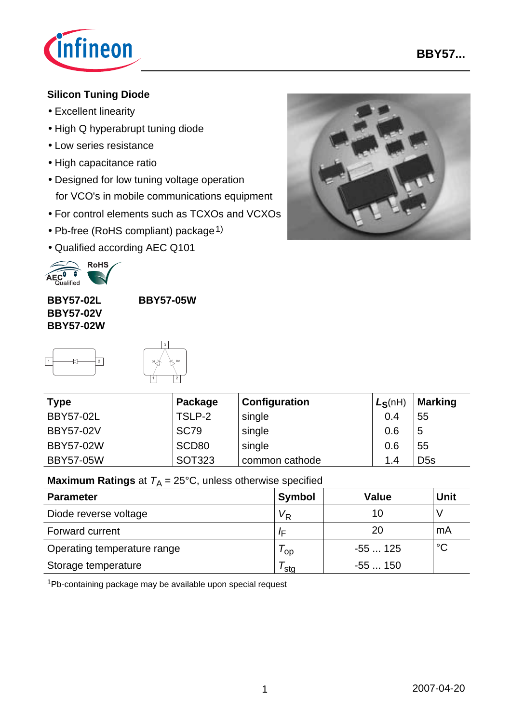

### **Silicon Tuning Diode**

- Excellent linearity
- High Q hyperabrupt tuning diode
- Low series resistance
- High capacitance ratio
- Designed for low tuning voltage operation for VCO's in mobile communications equipment
- For control elements such as TCXOs and VCXOs
- Pb-free (RoHS compliant) package<sup>1)</sup>
- Qualified according AEC Q101



**BBY57-02L BBY57-02V BBY57-02W**

**BBY57-05W**

i

-



| <b>Type</b>      | Package           | Configuration  | $L_S(nH)$ | Marking         |  |
|------------------|-------------------|----------------|-----------|-----------------|--|
| <b>BBY57-02L</b> | TSLP-2            | single         | 0.4       | 55              |  |
| <b>BBY57-02V</b> | <b>SC79</b>       | single         | 0.6       | 5               |  |
| <b>BBY57-02W</b> | SCD <sub>80</sub> | single         | 0.6       | 55              |  |
| <b>BBY57-05W</b> | <b>SOT323</b>     | common cathode | 1.4       | D <sub>5s</sub> |  |

## **Maximum Ratings** at  $T_A = 25^{\circ}C$ , unless otherwise specified

| <b>Parameter</b>            | Symbol           | Value    | <b>Unit</b> |
|-----------------------------|------------------|----------|-------------|
| Diode reverse voltage       | $V_{\mathsf{R}}$ | 10       |             |
| Forward current             | ΙF               | 20       | mA          |
| Operating temperature range | 'op              | $-55125$ | $^{\circ}C$ |
| Storage temperature         | ˈsta             | $-55150$ |             |

1Pb-containing package may be available upon special request

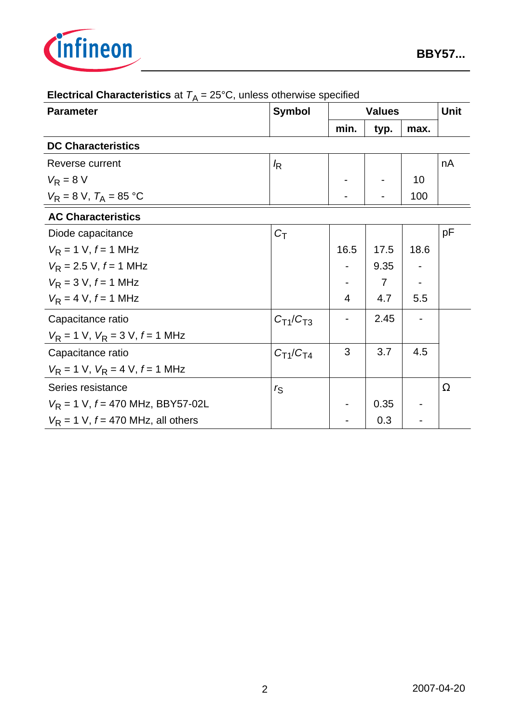

| <b>Parameter</b>                                       | <b>Symbol</b>    | <b>Values</b>  |      |      | <b>Unit</b> |  |  |  |
|--------------------------------------------------------|------------------|----------------|------|------|-------------|--|--|--|
|                                                        |                  | min.           | typ. | max. |             |  |  |  |
| <b>DC Characteristics</b>                              |                  |                |      |      |             |  |  |  |
| Reverse current                                        | $\sqrt{R}$       |                |      |      | nA          |  |  |  |
| $V_R = 8 V$                                            |                  |                |      | 10   |             |  |  |  |
| $V_R = 8 \text{ V}, T_A = 85 \text{ }^{\circ}\text{C}$ |                  |                |      | 100  |             |  |  |  |
| <b>AC Characteristics</b>                              |                  |                |      |      |             |  |  |  |
| Diode capacitance                                      | $C_T$            |                |      |      | pF          |  |  |  |
| $V_R = 1$ V, $f = 1$ MHz                               |                  | 16.5           | 17.5 | 18.6 |             |  |  |  |
| $V_R$ = 2.5 V, $f = 1$ MHz                             |                  |                | 9.35 |      |             |  |  |  |
| $V_R = 3 V, f = 1 MHz$                                 |                  |                | 7    |      |             |  |  |  |
| $V_R = 4 V, f = 1 MHz$                                 |                  | $\overline{4}$ | 4.7  | 5.5  |             |  |  |  |
| Capacitance ratio                                      | $C_{T1}/C_{T3}$  |                | 2.45 |      |             |  |  |  |
| $V_R = 1$ V, $V_R = 3$ V, $f = 1$ MHz                  |                  |                |      |      |             |  |  |  |
| Capacitance ratio                                      | $C_{T1}/C_{T4}$  | 3              | 3.7  | 4.5  |             |  |  |  |
| $V_R = 1$ V, $V_R = 4$ V, $f = 1$ MHz                  |                  |                |      |      |             |  |  |  |
| Series resistance                                      | $r_{\mathsf{S}}$ |                |      |      | Ω           |  |  |  |
| $V_R$ = 1 V, $f = 470$ MHz, BBY57-02L                  |                  |                | 0.35 |      |             |  |  |  |
| $V_R$ = 1 V, $f = 470$ MHz, all others                 |                  |                | 0.3  |      |             |  |  |  |

# **Electrical Characteristics** at  $T_A = 25^{\circ}$ C, unless otherwise specified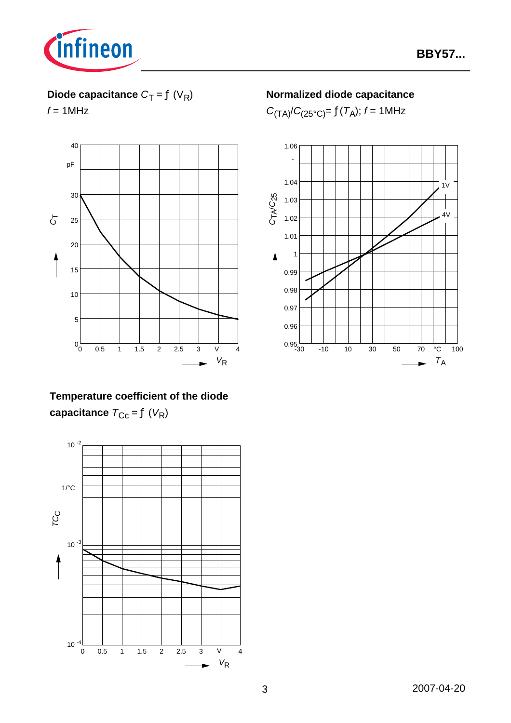

## **Diode capacitance**  $C_T = f(V_R)$

 $f = 1$ MHz



## **Temperature coefficient of the diode capacitance**  $T_{\text{Cc}} = f(V_R)$



### **Normalized diode capacitance**

 $C_{(TA)} / C_{(25^{\circ}C)} = f(T_A); f = 1MHz$ 

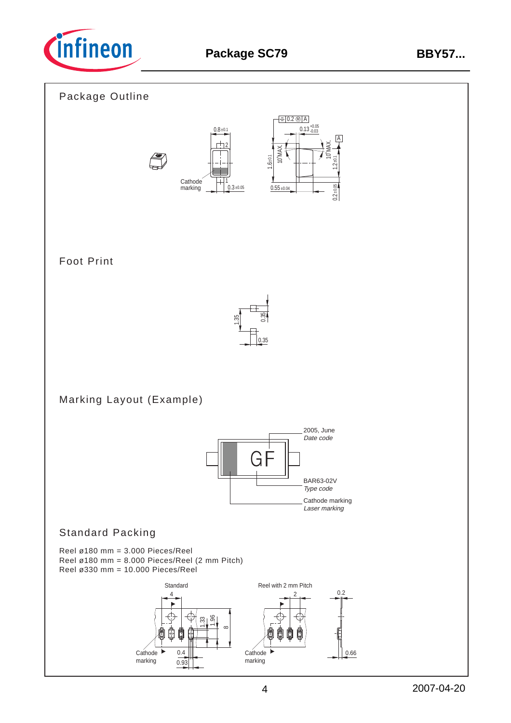

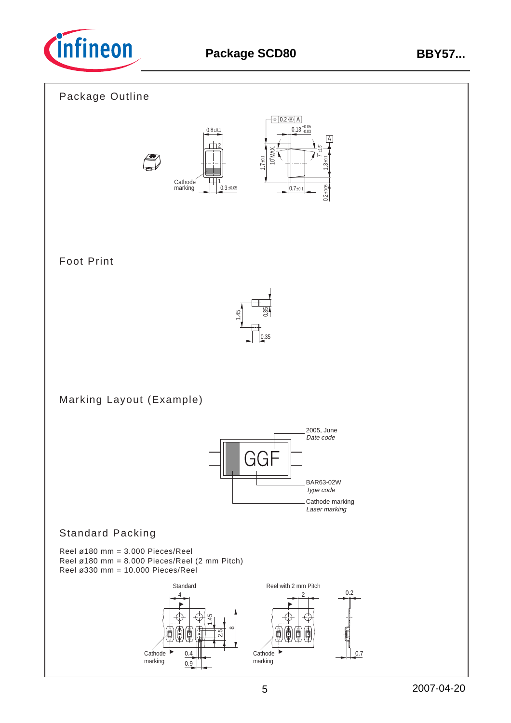

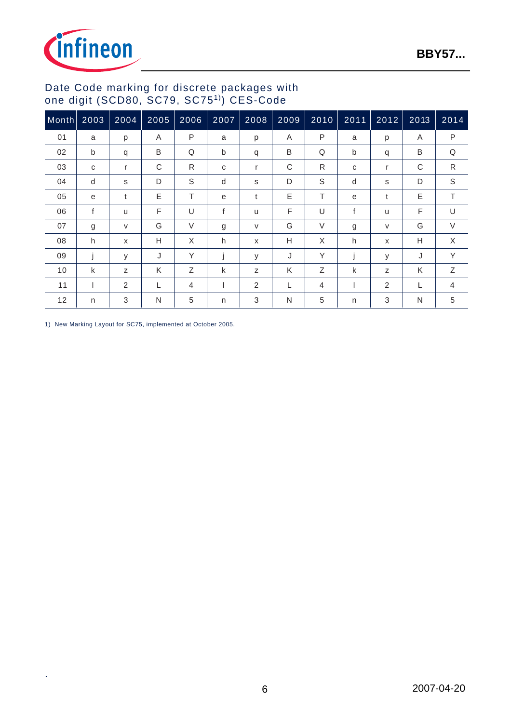

#### Date Code marking for discrete packages with one digit (SCD80, SC79, SC751)) CES-Code

| Month | 2003 | 2004 | 2005 | 2006   | 2007 | 2008 | 2009 | 2010         | 2011         | 2012                      | 2013 | 2014           |
|-------|------|------|------|--------|------|------|------|--------------|--------------|---------------------------|------|----------------|
| 01    | a    | p    | A    | P      | a    | p    | A    | P            | a            | p                         | A    | P              |
| 02    | b    | q    | B    | Q      | b    | q    | B    | Q            | b            | q                         | B    | Q              |
| 03    | C    | r    | C    | R      | C    | r    | C    | $\mathsf{R}$ | C            | r                         | C    | $\mathsf{R}$   |
| 04    | d    | S    | D    | S      | d    | S    | D    | S            | d            | S                         | D    | S              |
| 05    | e    | t    | E    | T.     | e    | t    | E    | T.           | e            | t                         | E    | T.             |
| 06    | f    | u    | F    | U      | f    | u    | F    | U            | $\mathsf{f}$ | <b>u</b>                  | F    | $\cup$         |
| 07    | g    | V    | G    | $\vee$ | g    | V    | G    | $\vee$       | g            | $\vee$                    | G    | $\vee$         |
| 08    | h    | X    | н    | X      | h    | X    | H    | X            | h            | $\boldsymbol{\mathsf{x}}$ | Н    | X              |
| 09    |      | y    | J    | Y      |      | y    | J    | Υ            |              | У                         | J    | Y              |
| 10    | k    | Z    | K    | Ζ      | k    | Z    | K    | Z            | k            | Z                         | K    | Z              |
| 11    |      | 2    | L    | 4      |      | 2    | L    | 4            |              | 2                         |      | $\overline{4}$ |
| 12    | n    | 3    | N    | 5      | n    | 3    | N    | 5            | n            | 3                         | N    | 5              |

1) New Marking Layout for SC75, implemented at October 2005.

.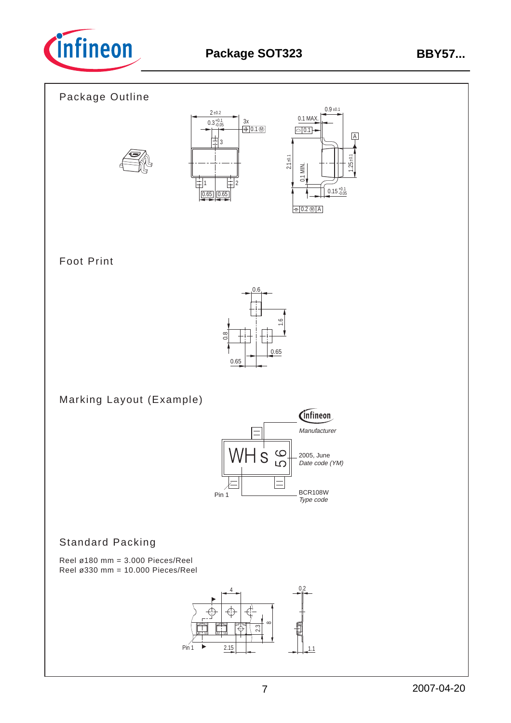

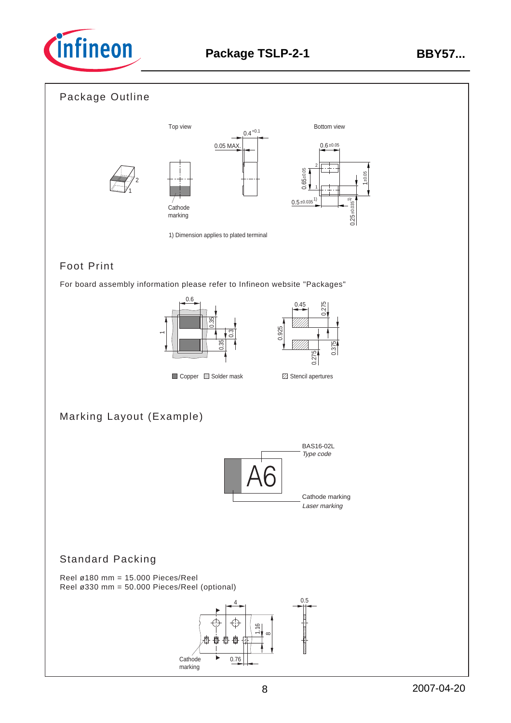

#### Package Outline



## Foot Print

For board assembly information please refer to Infineon website "Packages"





## Marking Layout (Example)



#### Standard Packing

Reel ø180 mm = 15.000 Pieces/Reel Reel ø330 mm = 50.000 Pieces/Reel (optional)